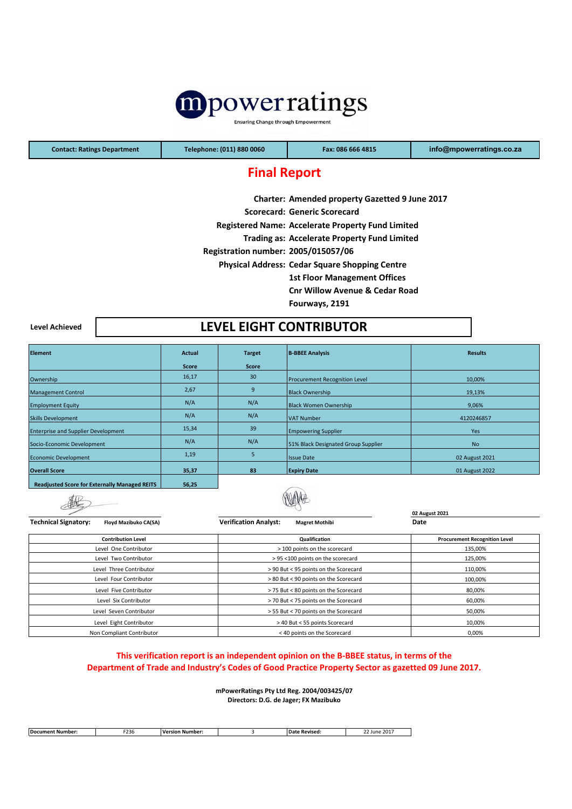

**Ensuring Change through Empowerment** 

**Contact: Ratings Department Telephone: (011) 880 0060 Fax: 086 666 4815 [info@mpowe](mailto:info@mpowerratings.co.za)rratings.co.za**

# **Final Report**

|                                     | Charter: Amended property Gazetted 9 June 2017           |
|-------------------------------------|----------------------------------------------------------|
|                                     | <b>Scorecard: Generic Scorecard</b>                      |
|                                     | <b>Registered Name: Accelerate Property Fund Limited</b> |
|                                     | <b>Trading as: Accelerate Property Fund Limited</b>      |
| Registration number: 2005/015057/06 |                                                          |
|                                     | <b>Physical Address: Cedar Square Shopping Centre</b>    |
|                                     | <b>1st Floor Management Offices</b>                      |
|                                     | <b>Cnr Willow Avenue &amp; Cedar Road</b>                |
|                                     |                                                          |

**Fourways, 2191** 

**Level Achieved**

# **LEVEL EIGHT CONTRIBUTOR**

| <b>Element</b>                                       | <b>Actual</b> | <b>Target</b> | <b>B-BBEE Analysis</b>               | <b>Results</b> |
|------------------------------------------------------|---------------|---------------|--------------------------------------|----------------|
|                                                      | <b>Score</b>  | <b>Score</b>  |                                      |                |
| Ownership                                            | 16,17         | 30            | <b>Procurement Recognition Level</b> | 10,00%         |
| <b>Management Control</b>                            | 2,67          | 9             | <b>Black Ownership</b>               | 19,13%         |
| <b>Employment Equity</b>                             | N/A           | N/A           | <b>Black Women Ownership</b>         | 9,06%          |
| <b>Skills Development</b>                            | N/A           | N/A           | <b>VAT Number</b>                    | 4120246857     |
| <b>Enterprise and Supplier Development</b>           | 15,34         | 39            | <b>Empowering Supplier</b>           | Yes.           |
| Socio-Economic Development                           | N/A           | N/A           | 51% Black Designated Group Supplier  | <b>No</b>      |
| <b>Economic Development</b>                          | 1,19          | 5             | <b>Issue Date</b>                    | 02 August 2021 |
| <b>Overall Score</b>                                 | 35,37         | 83            | <b>Expiry Date</b>                   | 01 August 2022 |
| <b>Readjusted Score for Externally Managed REITS</b> | 56,25         |               | <b>Contract Contract Contract</b>    |                |

**Readjusted Score for Externally Managed REITS**

| <b>Technical Signatory:</b><br>Floyd Mazibuko CA(SA) | <b>Verification Analyst:</b><br><b>Magret Mothibi</b> | 02 August 2021<br>Date               |  |  |
|------------------------------------------------------|-------------------------------------------------------|--------------------------------------|--|--|
| <b>Contribution Level</b>                            | Qualification                                         | <b>Procurement Recognition Level</b> |  |  |
| Level One Contributor                                | > 100 points on the scorecard                         | 135,00%                              |  |  |
| Level Two Contributor                                | > 95 <100 points on the scorecard                     | 125,00%                              |  |  |
| Level Three Contributor                              | > 90 But < 95 points on the Scorecard                 | 110,00%                              |  |  |
| Level Four Contributor                               | > 80 But < 90 points on the Scorecard                 | 100,00%                              |  |  |
| Level Five Contributor                               | > 75 But < 80 points on the Scorecard                 | 80,00%                               |  |  |
| Level Six Contributor                                | > 70 But < 75 points on the Scorecard                 | 60,00%                               |  |  |
| Level Seven Contributor                              | > 55 But < 70 points on the Scorecard                 | 50,00%                               |  |  |
| Level Eight Contributor                              | > 40 But < 55 points Scorecard                        | 10,00%                               |  |  |
| Non Compliant Contributor                            | < 40 points on the Scorecard                          | 0,00%                                |  |  |

### **This verification report is an independent opinion on the B-BBEE status, in terms of the Department of Trade and Industry's Codes of Good Practice Property Sector as gazetted 09 June 2017.**

**mPowerRatings Pty Ltd Reg. 2004/003425/07 Directors: D.G. de Jager; FX Mazibuko**

| <b>Document Number:</b> | 522<br><b>250</b> | . .<br>. .<br>Version<br>`Number. | Revised<br>. п. | $\sim$ $\sim$ $\sim$<br>June 201 |
|-------------------------|-------------------|-----------------------------------|-----------------|----------------------------------|
|                         |                   |                                   |                 |                                  |